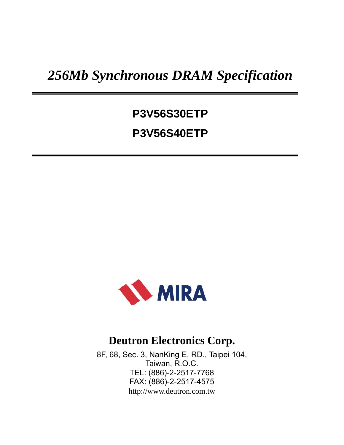# *256Mb Synchronous DRAM Specification*

# **P3V56S30ETP P3V56S40ETP**



# **Deutron Electronics Corp.**

8F, 68, Sec. 3, NanKing E. RD., Taipei 104, Taiwan, R.O.C. TEL: (886)-2-2517-7768 FAX: (886)-2-2517-4575 http://www.deutron.com.tw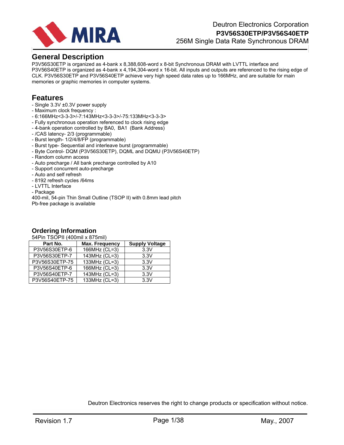

# **General Description**

P3V56S30ETP is organized as 4-bank x 8,388,608-word x 8-bit Synchronous DRAM with LVTTL interface and P3V56S40ETP is organized as 4-bank x 4,194,304-word x 16-bit. All inputs and outputs are referenced to the rising edge of CLK. P3V56S30ETP and P3V56S40ETP achieve very high speed data rates up to 166MHz, and are suitable for main memories or graphic memories in computer systems.

# **Features**

- Single 3.3V ±0.3V power supply
- Maximum clock frequency :
- 6:166MHz<3-3-3>/-7:143MHz<3-3-3>/-75:133MHz<3-3-3>
- Fully synchronous operation referenced to clock rising edge
- 4-bank operation controlled by BA0, BA1 (Bank Address)
- /CAS latency- 2/3 (programmable)
- Burst length- 1/2/4/8/FP (programmable)
- Burst type- Sequential and interleave burst (programmable)
- Byte Control- DQM (P3V56S30ETP), DQML and DQMU (P3V56S40ETP)
- Random column access
- Auto precharge / All bank precharge controlled by A10
- Support concurrent auto-precharge
- Auto and self refresh
- 8192 refresh cycles /64ms
- LVTTL Interface
- Package

400-mil, 54-pin Thin Small Outline (TSOP II) with 0.8mm lead pitch Pb-free package is available

# **Ordering Information**

54Pin TSOPII (400mil x 875mil)

| Part No.       | <b>Max. Frequency</b> | <b>Supply Voltage</b> |
|----------------|-----------------------|-----------------------|
| P3V56S30ETP-6  | 166MHz (CL=3)         | 3.3V                  |
| P3V56S30ETP-7  | 143MHz (CL=3)         | 3.3V                  |
| P3V56S30ETP-75 | 133MHz (CL=3)         | 3.3V                  |
| P3V56S40ETP-6  | 166MHz (CL=3)         | 3.3V                  |
| P3V56S40ETP-7  | 143MHz (CL=3)         | 3.3V                  |
| P3V56S40ETP-75 | 133MHz (CL=3)         | 3.3V                  |

Deutron Electronics reserves the right to change products or specification without notice.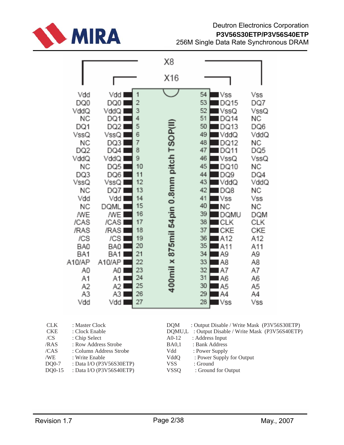

# Deutron Electronics Corporation **P3V56S30ETP/P3V56S40ETP** 256M Single Data Rate Synchronous DRAM

|                                                                           |                                                                                                                                                                                           |                                                                                                                                                                                                                          |                                                                                                                                                                    | X8                                                                                          |                                                                                                                                                                                                                                                                                                                                                                                          |                                                                                                                                                                                    |  |
|---------------------------------------------------------------------------|-------------------------------------------------------------------------------------------------------------------------------------------------------------------------------------------|--------------------------------------------------------------------------------------------------------------------------------------------------------------------------------------------------------------------------|--------------------------------------------------------------------------------------------------------------------------------------------------------------------|---------------------------------------------------------------------------------------------|------------------------------------------------------------------------------------------------------------------------------------------------------------------------------------------------------------------------------------------------------------------------------------------------------------------------------------------------------------------------------------------|------------------------------------------------------------------------------------------------------------------------------------------------------------------------------------|--|
|                                                                           |                                                                                                                                                                                           |                                                                                                                                                                                                                          |                                                                                                                                                                    | X16                                                                                         |                                                                                                                                                                                                                                                                                                                                                                                          |                                                                                                                                                                                    |  |
|                                                                           | Vdd<br>DQ0<br>VddQ<br>ΝC<br>DQ1<br>VssQ<br>ΝC<br>DQ2<br>VddQ<br>ΝC<br>DQ3<br>VssQ<br>ΝC<br>Vdd<br>ΝC<br>ΛWΕ<br>/CAS<br>/RAS<br>/CS<br>BA0<br>BA1<br>A10/AP<br>A0<br>A1<br>Α2<br>A3<br>Vdd | Vdd<br>DQ0<br>VddQ I<br>DQ1 I<br>DQ2<br>VssQ l<br>DQ3<br>DQ41<br>VddQ l<br>DQ5<br>DQ6<br>VssQ<br>DQ71<br>Vdd I<br>DQML<br>/WE<br>/CAS  <br>/RAS<br>/CS I<br>BA0<br>BA1 I<br>A10/API<br>A0<br>A1<br>A2 I<br>A3 I<br>Vdd I | 1<br>$\overline{c}$<br>3<br>4<br>5<br>6<br>7<br>8<br>9<br>10<br>11<br>12<br>13<br>14<br>15<br>16<br>17<br>18<br>19<br>20<br>21<br>22<br>23<br>24<br>25<br>26<br>27 | 400mil x 875mil 54pin 0.8mm pitch TSOP(II                                                   | 54<br>l Vss<br>53<br>DQ15<br>52<br>VssQ<br>51<br>DQ14<br>50<br>DQ13<br>49<br>VddQ<br>48<br>DQ12<br>47<br>DQ11<br>46<br>VssQ<br>45<br>DQ10<br>44<br>DQ9<br>43<br>VddQ<br>42<br>DQ8<br>41<br>Vss<br>40<br>ΝC<br>39<br>DQMU<br>38<br>CLK<br>37<br>CKE<br>36<br>A12<br>35<br>A11<br>34<br>A9<br>33<br>A8<br>32<br>A7<br>31<br>A6<br>30<br>A5<br>29<br>A4<br>28<br>$\blacksquare\mathsf{VSS}$ | Vss<br>DQ7<br>VssQ<br>ΝC<br>DQ6<br>VddQ<br>ΝC<br>DQ5<br>VssQ<br>ΝC<br>DQ4<br>VddQ<br>ΝC<br>Vss<br>ΝC<br>DQM<br>CLK<br>CKE<br>A12<br>A11<br>A9<br>A8<br>A7<br>A6<br>A5<br>A4<br>Vss |  |
| <b>CLK</b><br><b>CKE</b><br>/CS<br>/RAS<br>/CAS<br>/WE<br>DQ0-7<br>DQ0-15 | : Master Clock<br>: Clock Enable<br>: Chip Select<br>: Write Enable                                                                                                                       | : Row Address Strobe<br>: Column Address Strobe<br>: Data I/O (P3V56S30ETP)<br>: Data I/O (P3V56S40ETP)                                                                                                                  |                                                                                                                                                                    | <b>DQM</b><br>DQMU,L<br>$A0-12$<br><b>BA0,1</b><br>Vdd<br>VddQ<br><b>VSS</b><br><b>VSSQ</b> | : Output Disable / Write Mask (P3V56S30ETP)<br>: Output Disable / Write Mask (P3V56S40ETP)<br>: Address Input<br>: Bank Address<br>: Power Supply<br>: Power Supply for Output<br>: Ground<br>: Ground for Output                                                                                                                                                                        |                                                                                                                                                                                    |  |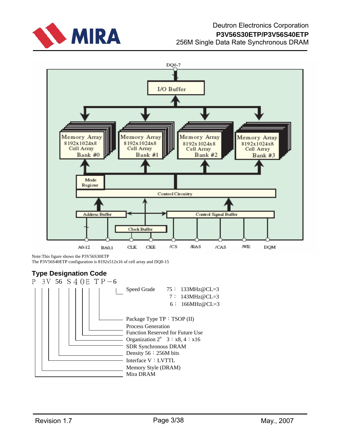



Note:This figure shows the P3V56S30ETP The P3V56S40ETP configuration is 8192x512x16 of cell array and DQ0-15

# **Type Designation Code**

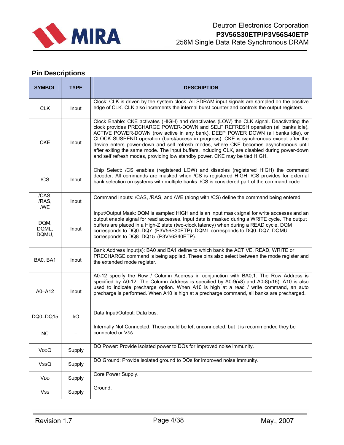

# **Pin Descriptions**

| <b>SYMBOL</b>          | <b>TYPE</b> | <b>DESCRIPTION</b>                                                                                                                                                                                                                                                                                                                                                                                                                                                                                                                                                                                                                   |
|------------------------|-------------|--------------------------------------------------------------------------------------------------------------------------------------------------------------------------------------------------------------------------------------------------------------------------------------------------------------------------------------------------------------------------------------------------------------------------------------------------------------------------------------------------------------------------------------------------------------------------------------------------------------------------------------|
| <b>CLK</b>             | Input       | Clock: CLK is driven by the system clock. All SDRAM input signals are sampled on the positive<br>edge of CLK. CLK also increments the internal burst counter and controls the output registers.                                                                                                                                                                                                                                                                                                                                                                                                                                      |
| <b>CKE</b>             | Input       | Clock Enable: CKE activates (HIGH) and deactivates (LOW) the CLK signal. Deactivating the<br>clock provides PRECHARGE POWER-DOWN and SELF REFRESH operation (all banks idle),<br>ACTIVE POWER-DOWN (row active in any bank), DEEP POWER DOWN (all banks idle), or<br>CLOCK SUSPEND operation (burst/access in progress). CKE is synchronous except after the<br>device enters power-down and self refresh modes, where CKE becomes asynchronous until<br>after exiting the same mode. The input buffers, including CLK, are disabled during power-down<br>and self refresh modes, providing low standby power. CKE may be tied HIGH. |
| /CS                    | Input       | Chip Select: /CS enables (registered LOW) and disables (registered HIGH) the command<br>decoder. All commands are masked when /CS is registered HIGH. /CS provides for external<br>bank selection on systems with multiple banks. /CS is considered part of the command code.                                                                                                                                                                                                                                                                                                                                                        |
| /CAS,<br>/RAS,<br>/WE  | Input       | Command Inputs: /CAS, /RAS, and /WE (along with /CS) define the command being entered.                                                                                                                                                                                                                                                                                                                                                                                                                                                                                                                                               |
| DQM,<br>DQML,<br>DQMU, | Input       | Input/Output Mask: DQM is sampled HIGH and is an input mask signal for write accesses and an<br>output enable signal for read accesses. Input data is masked during a WRITE cycle. The output<br>buffers are placed in a High-Z state (two-clock latency) when during a READ cycle. DQM<br>corresponds to DQ0-DQ7 (P3V56S30ETP). DQML corresponds to DQ0-DQ7, DQMU<br>corresponds to DQ8-DQ15 (P3V56S40ETP).                                                                                                                                                                                                                         |
| BA0, BA1               | Input       | Bank Address Input(s): BA0 and BA1 define to which bank the ACTIVE, READ, WRITE or<br>PRECHARGE command is being applied. These pins also select between the mode register and<br>the extended mode register.                                                                                                                                                                                                                                                                                                                                                                                                                        |
| A0-A12                 | Input       | A0-12 specify the Row / Column Address in conjunction with BA0,1. The Row Address is<br>specified by A0-12. The Column Address is specified by A0-9(x8) and A0-8(x16). A10 is also<br>used to indicate precharge option. When A10 is high at a read / write command, an auto<br>precharge is performed. When A10 is high at a precharge command, all banks are precharged.                                                                                                                                                                                                                                                           |
| DQ0-DQ15               | I/O         | Data Input/Output: Data bus.                                                                                                                                                                                                                                                                                                                                                                                                                                                                                                                                                                                                         |
| <b>NC</b>              |             | Internally Not Connected: These could be left unconnected, but it is recommended they be<br>connected or Vss.                                                                                                                                                                                                                                                                                                                                                                                                                                                                                                                        |
| VDDQ                   | Supply      | DQ Power: Provide isolated power to DQs for improved noise immunity.                                                                                                                                                                                                                                                                                                                                                                                                                                                                                                                                                                 |
| VssQ                   | Supply      | DQ Ground: Provide isolated ground to DQs for improved noise immunity.                                                                                                                                                                                                                                                                                                                                                                                                                                                                                                                                                               |
| VDD                    | Supply      | Core Power Supply.                                                                                                                                                                                                                                                                                                                                                                                                                                                                                                                                                                                                                   |
| Vss                    | Supply      | Ground.                                                                                                                                                                                                                                                                                                                                                                                                                                                                                                                                                                                                                              |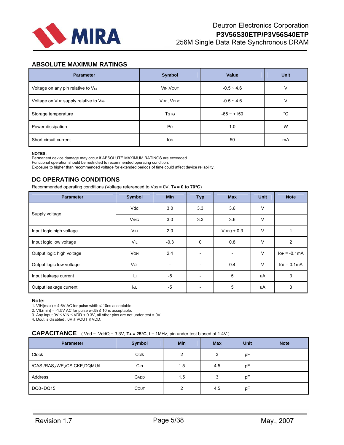

# **ABSOLUTE MAXIMUM RATINGS**

| <b>Parameter</b>                      | Symbol                | Value        | <b>Unit</b> |
|---------------------------------------|-----------------------|--------------|-------------|
| Voltage on any pin relative to Vss    | VIN, VOUT             | $-0.5 - 4.6$ | v           |
| Voltage on VDD supply relative to Vss | VDD, VDDQ             | $-0.5 - 4.6$ | V           |
| Storage temperature                   | <b>TSTG</b>           | $-65 - +150$ | $^{\circ}C$ |
| Power dissipation                     | <b>P</b> <sub>D</sub> | 1.0          | W           |
| Short circuit current                 | los                   | 50           | mA          |

#### **NOTES:**

Permanent device damage may occur if ABSOLUTE MAXIMUM RATINGS are exceeded. Functional operation should be restricted to recommended operating condition. Exposure to higher than recommended voltage for extended periods of time could affect device reliability.

# **DC OPERATING CONDITIONS**

Recommended operating conditions (Voltage referenced to Vss = 0V, TA = 0 to 70°C)

| <b>Parameter</b>          | <b>Symbol</b>         | <b>Min</b>               | <b>Typ</b> | <b>Max</b>               | <b>Unit</b> | <b>Note</b>    |
|---------------------------|-----------------------|--------------------------|------------|--------------------------|-------------|----------------|
| Supply voltage            | Vdd                   | 3.0                      | 3.6<br>3.3 |                          | V           |                |
|                           | VddQ                  | 3.0                      | 3.6<br>3.3 |                          | V           |                |
| Input logic high voltage  | <b>V<sub>IH</sub></b> | 2.0                      |            | $VDDQ + 0.3$             | $\vee$      |                |
| Input logic low voltage   | VIL                   | $-0.3$                   | 0          | 0.8                      | $\vee$      | $\overline{2}$ |
| Output logic high voltage | <b>VOH</b>            | 2.4                      |            | $\overline{\phantom{a}}$ | $\vee$      | $IOH = -0.1mA$ |
| Output logic low voltage  | <b>VOL</b>            | $\overline{\phantom{0}}$ |            | 0.4                      | $\vee$      | $IOL = 0.1mA$  |
| Input leakage current     | Iцг                   | $-5$                     |            | 5                        | uA          | 3              |
| Output leakage current    | lol                   | $-5$                     |            | 5                        | uA          | 3              |

#### **Note:**

1. VIH(max) = 4.6V AC for pulse width  $\leq$  10ns acceptable.

2. VIL(min) = -1.5V AC for pulse width ≤ 10ns acceptable.

3. Any input 0V ≤ VIN ≤ VDD + 0.3V, all other pins are not under test = 0V.

4. Dout is disabled , 0V ≤ VOUT ≤ VDD.

## **CAPACITANCE** ( Vdd = VddQ = 3.3V, **TA = 25°C**, f = 1MHz, pin under test biased at 1.4V.)

| <b>Parameter</b>             | <b>Symbol</b> | <b>Min</b>     | <b>Max</b> | <b>Unit</b> | <b>Note</b> |
|------------------------------|---------------|----------------|------------|-------------|-------------|
| Clock                        | Cclk          | $\overline{2}$ | 3          | pF          |             |
| /CAS,/RAS,/WE,/CS,CKE,DQMU/L | Cin           | 1.5            | 4.5        | рF          |             |
| Address                      | <b>CADD</b>   | 1.5            | 3          | pF          |             |
| DQ0~DQ15                     | COUT          | 2              | 4.5        | pF          |             |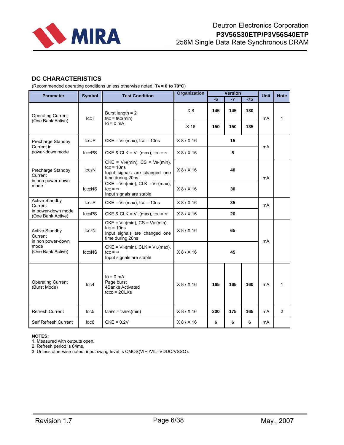

# **DC CHARACTERISTICS**

(Recommended operating conditions unless otherwise noted, **TA = 0 to 70**°**C**)

| <b>Parameter</b>                                      | <b>Symbol</b>                   | <b>Test Condition</b>                                                                                      | <b>Organization</b> |     | <b>Version</b> | <b>Unit</b> | <b>Note</b> |                |
|-------------------------------------------------------|---------------------------------|------------------------------------------------------------------------------------------------------------|---------------------|-----|----------------|-------------|-------------|----------------|
|                                                       |                                 |                                                                                                            |                     | -6  | $-7$           | $-75$       |             |                |
| <b>Operating Current</b>                              | ICC <sub>1</sub>                | Burst length $= 2$<br>$\text{trc} = \text{trc}(\text{min})$                                                | X8                  | 145 | 145            | 130         | mA          | 1              |
| (One Bank Active)                                     |                                 | $I_O = 0$ mA                                                                                               | X <sub>16</sub>     | 150 | 150            | 135         |             |                |
| Precharge Standby<br>Current in                       | lcc <sub>2</sub> P              | $CKE = VIL(max)$ , tcc = 10ns                                                                              | X8/X16              | 15  |                |             | mA          |                |
| power-down mode                                       | Icc <sub>2</sub> PS             | CKE & CLK = $VIL(max)$ , tcc = $\infty$                                                                    | X8/X16              |     | 5              |             |             |                |
| Precharge Standby<br>Current<br>in non power-down     | lcc2N                           | $CKE = VIH(min)$ , $CS = VIH(min)$ ,<br>$tcc = 10$ ns<br>Input signals are changed one<br>time during 20ns | X8/X16              | 40  |                |             | mA          |                |
| mode                                                  | Icc <sub>2</sub> NS             | $CKE = VIH(min), CLK = VIL(max),$<br>$tcc = \infty$<br>Input signals are stable                            | X8/X16              | 30  |                |             |             |                |
| <b>Active Standby</b><br>Current                      | ICC3P                           | $CKE = VIL(max)$ , tcc = 10ns                                                                              | X 8 / X 16          | 35  |                |             | mA          |                |
| in power-down mode<br>(One Bank Active)               | Icc <sub>3</sub> PS             | CKE & CLK = $VIL(max)$ , tcc = $\infty$                                                                    | X8/X16              | 20  |                |             |             |                |
| <b>Active Standby</b><br>Current<br>in non power-down | ICC <sub>3</sub> N              | $CKE = VIH(min)$ , $CS = VIH(min)$ ,<br>$tcc = 10$ ns<br>Input signals are changed one<br>time during 20ns | X8/X16              | 65  |                | mA          |             |                |
| mode<br>(One Bank Active)                             | ICC <sub>3</sub> N <sub>S</sub> | $CKE = VH(min)$ , $CLK = VL(max)$ ,<br>$tcc = \infty$<br>Input signals are stable                          | X8/X16              | 45  |                |             |             |                |
| <b>Operating Current</b><br>(Burst Mode)              | $_{\text{ICC}}$ 4               | $I_O = 0$ mA<br>Page burst<br>4Banks Activated<br>$t_{CCD} = 2CLKs$                                        | X8/X16              | 165 | 165            | 160         | mA          | 1              |
| Refresh Current                                       | lcc5                            | $t$ ARFC = $t$ ARFC(min)                                                                                   | X8/X16              | 200 | 175            | 165         | mA          | $\overline{2}$ |
| Self Refresh Current                                  | lcc6                            | $CKE = 0.2V$                                                                                               | X8/X16              | 6   | 6              | 6           | mA          |                |

#### **NOTES:**

1. Measured with outputs open.

2. Refresh period is 64ms.

3. Unless otherwise noted, input swing level is CMOS(VIH /VIL=VDDQ/VSSQ).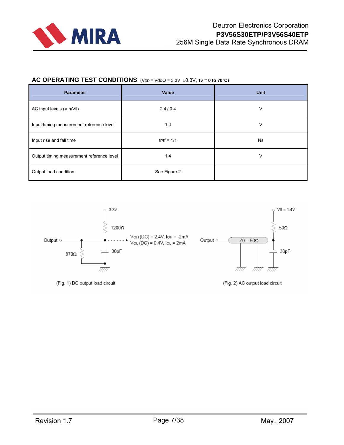

# AC OPERATING TEST CONDITIONS (VDD = VddQ = 3.3V ±0.3V, TA = 0 to 70°C)

| <b>Parameter</b>                          | Value         | <b>Unit</b> |  |  |
|-------------------------------------------|---------------|-------------|--|--|
| AC input levels (Vih/Vil)                 | 2.4/0.4       | V           |  |  |
| Input timing measurement reference level  | 1.4           | V           |  |  |
| Input rise and fall time                  | $tr/tf = 1/1$ | Ns          |  |  |
| Output timing measurement reference level | 1.4           | v           |  |  |
| Output load condition                     | See Figure 2  |             |  |  |

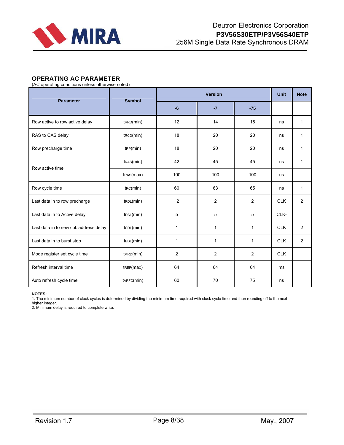

# **OPERATING AC PARAMETER**

(AC operating conditions unless otherwise noted)

| <b>Parameter</b>                       | <b>Symbol</b>          |                |                | <b>Unit</b> | <b>Note</b> |                |
|----------------------------------------|------------------------|----------------|----------------|-------------|-------------|----------------|
|                                        |                        | $-6$           | $-7$           | $-75$       |             |                |
| Row active to row active delay         | tr <sub>RD</sub> (min) | 12             | 14             | 15          | ns          | $\mathbf{1}$   |
| RAS to CAS delay                       | $t_{\text{RCD}}(min)$  | 18             | 20             | 20          | ns          | 1              |
| Row precharge time                     | tRP(min)               | 18             | 20             | 20          | ns          | $\mathbf{1}$   |
|                                        | $t$ RAS $(min)$        | 42             | 45             | 45          | ns          | 1              |
| Row active time                        | tras(max)              | 100            | 100            | 100         | us          |                |
| Row cycle time                         | $t_{RC}(min)$          | 60             | 63             | 65          | ns          | $\mathbf{1}$   |
| Last data in to row precharge          | tRDL(min)              | $\overline{2}$ | $\overline{2}$ | 2           | <b>CLK</b>  | $\overline{2}$ |
| Last data in to Active delay           | t <sub>DAL</sub> (min) | 5              | 5              | 5           | CLK-        |                |
| Last data in to new col. address delay | tCDL(min)              | 1              | $\mathbf{1}$   | 1           | <b>CLK</b>  | 2              |
| Last data in to burst stop             | tBDL(min)              | 1              | 1              | 1           | <b>CLK</b>  | 2              |
| Mode register set cycle time           | $t$ MRD $(min)$        | $\overline{2}$ | $\overline{2}$ | 2           | <b>CLK</b>  |                |
| Refresh interval time                  | $t$ REF $(max)$        | 64             | 64             | 64          | ms          |                |
| Auto refresh cycle time                | $t$ ARFC $(min)$       | 60             | 70             | 75          | ns          |                |

#### **NOTES:**

1. The minimum number of clock cycles is determined by dividing the minimum time required with clock cycle time and then rounding off to the next

higher integer. 2. Minimum delay is required to complete write.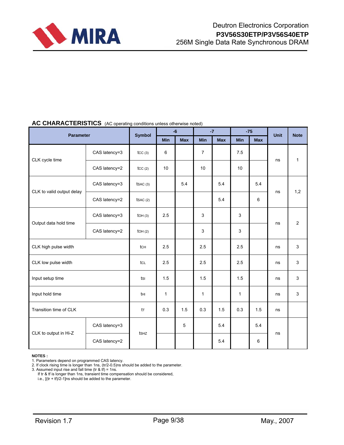

# AC CHARACTERISTICS (AC operating conditions unless otherwise noted)

| Parameter                 |               | <b>Symbol</b>    |              | $-6$       |                | $-7$       |              | $-75$      | <b>Unit</b> | <b>Note</b>    |
|---------------------------|---------------|------------------|--------------|------------|----------------|------------|--------------|------------|-------------|----------------|
|                           |               |                  | Min          | <b>Max</b> | Min            | <b>Max</b> | Min          | <b>Max</b> |             |                |
| CLK cycle time            | CAS latency=3 | tcc(3)           | 6            |            | $\overline{7}$ |            | 7.5          |            | ns          | $\mathbf{1}$   |
|                           | CAS latency=2 | tcc(2)           | 10           |            | 10             |            | 10           |            |             |                |
| CLK to valid output delay | CAS latency=3 | tsAC(3)          |              | 5.4        |                | 5.4        |              | 5.4        | ns          | 1,2            |
|                           | CAS latency=2 | tsAC(2)          |              |            |                | 5.4        |              | 6          |             |                |
| Output data hold time     | CAS latency=3 | LOH(3)           | 2.5          |            | 3              |            | 3            |            | ns          | $\overline{2}$ |
|                           | CAS latency=2 | LOH(2)           |              |            | 3              |            | 3            |            |             |                |
| CLK high pulse width      |               | tch              | 2.5          |            | 2.5            |            | 2.5          |            | ns          |                |
| CLK low pulse width       |               | tcl              | 2.5          |            | 2.5            |            | 2.5          |            | ns          | 3              |
| Input setup time          |               | tsı              | 1.5          |            | 1.5            |            | 1.5          |            | ns          | 3              |
| Input hold time           |               | tнı              | $\mathbf{1}$ |            | 1              |            | $\mathbf{1}$ |            | ns          | 3              |
| Transition time of CLK    |               | tr               | 0.3          | 1.5        | 0.3            | 1.5        | 0.3          | 1.5        | ns          |                |
|                           | CAS latency=3 | ts <sub>Hz</sub> |              | 5          |                | 5.4        |              | 5.4        | ns          |                |
| CLK to output in Hi-Z     | CAS latency=2 |                  |              |            |                | 5.4        |              | 6          |             |                |

**NOTES :**

3. Assumed input rise and fall time (tr & tf) = 1ns.

If tr & tf is longer than 1ns, transient time compensation should be considered,

i.e.,  $[(tr + tf)/2-1]$ ns should be added to the parameter.

<sup>1.</sup> Parameters depend on programmed CAS latency.

<sup>2.</sup> If clock rising time is longer than 1ns, (tr/2-0.5)ns should be added to the parameter.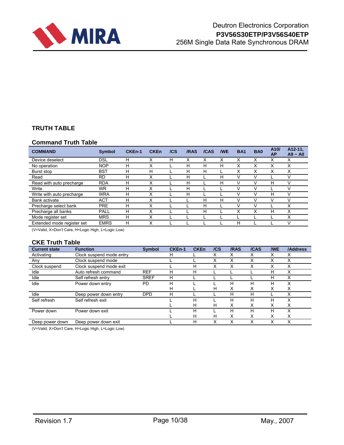

# **TRUTH TABLE**

# **Command Truth Table**

| <b>COMMAND</b>             | <b>Symbol</b> | CKEn-1 | <b>CKEn</b> | /CS | /RAS | /CAS | <b>NVE</b> | <b>BA1</b> | BA <sub>0</sub> | A10/<br><b>AP</b> | A12-11,<br>$A9 - A0$ |
|----------------------------|---------------|--------|-------------|-----|------|------|------------|------------|-----------------|-------------------|----------------------|
| Device deselect            | <b>DSL</b>    | н      | x           | н   | x    |      | х          | x          | х               | x                 | x                    |
| No operation               | <b>NOP</b>    | н      | ν           |     | н    | н    | н          | x          | x               | ◡                 | Х                    |
| Burst stop                 | <b>BST</b>    | н      | н           |     | н    | н    |            | X          | Х               | v                 | X                    |
| Read                       | <b>RD</b>     | н      | Χ           |     | н    |      | н          | V          | ν               |                   | v                    |
| Read with auto precharge   | <b>RDA</b>    | н      | х           |     | н    |      | н          | V          |                 | н                 | V                    |
| Write                      | WR            | н      | x           |     | н    |      |            |            |                 |                   |                      |
| Write with auto precharge  | <b>WRA</b>    | н      | Χ           |     | н    |      |            | V          | V               | н                 | $\vee$               |
| <b>Bank activate</b>       | <b>ACT</b>    | н      | х           |     |      | н    | н          | v          | V               |                   | V                    |
| Precharge select bank      | <b>PRE</b>    | н      | Χ           |     |      | н    |            |            |                 |                   | X                    |
| Precharge all banks        | PALL          | н      | Χ           |     |      | н    |            | ́          | ◡               | н                 | X                    |
| Mode register set          | <b>MRS</b>    | н      | х           |     |      |      |            |            |                 |                   | x                    |
| Extended mode register set | <b>EMRS</b>   | Н      | х           |     |      |      |            | Н          |                 |                   | V                    |

(V=Valid, X=Don′t Care, H=Logic High, L=Logic Low)

# **CKE Truth Table**

| <b>Current state</b> | <b>Function</b>          | <b>Symbol</b> | <b>CKEn-1</b> | <b>CKEn</b> | /CS | /RAS | /CAS | <b>NVE</b> | /Address |
|----------------------|--------------------------|---------------|---------------|-------------|-----|------|------|------------|----------|
| Activating           | Clock suspend mode entry |               | н             |             | x   |      |      | x          |          |
| Any                  | Clock suspend mode       |               |               |             |     |      |      |            |          |
| Clock suspend        | Clock suspend mode exit  |               |               | н           | X   |      |      |            |          |
| Idle                 | Auto refresh command     | <b>REF</b>    | н             | н           |     |      |      | н          | х        |
| Idle                 | Self refresh entry       | <b>SREF</b>   | н             |             |     |      |      | н          |          |
| Idle                 | Power down entry         | PD            | н             |             |     | н    | Н    | н          | Χ        |
|                      |                          |               | н             |             | н   | х    | x    | x          | х        |
| Idle                 | Deep power down entry    | <b>DPD</b>    | н             |             |     | н    |      |            |          |
| Self refresh         | Self refresh exit        |               |               | н           |     | н    |      | н          |          |
|                      |                          |               |               | н           | н   | x    |      | х          | x        |
| Power down           | Power down exit          |               |               | н           |     | н    | н    | н          | х        |
|                      |                          |               |               | н           | н   | x    | ⋏    | х          | х        |
| Deep power down      | Deep power down exit     |               |               | н           | x   | х    |      | x          | x        |

(V=Valid, X=Don′t Care, H=Logic High, L=Logic Low)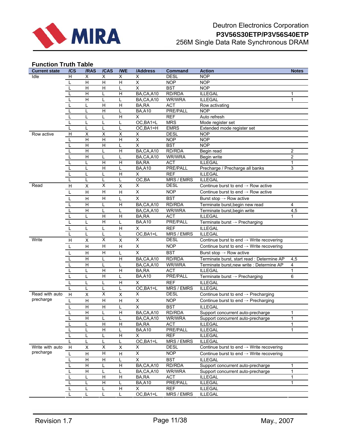

# **Function Truth Table**

| <b>Current state</b> | /CS            | /RAS                    | /CAS                         | <b>NVE</b>                | /Address                | Command         | <b>Action</b>                                        | <b>Notes</b>   |
|----------------------|----------------|-------------------------|------------------------------|---------------------------|-------------------------|-----------------|------------------------------------------------------|----------------|
| Idle                 | H              | х                       | X                            | Χ                         | X                       | <b>DESL</b>     | <b>NOP</b>                                           |                |
|                      |                | H                       | Н                            | H                         | X                       | <b>NOP</b>      | <b>NOP</b>                                           |                |
|                      |                | $\overline{\mathsf{H}}$ | $\overline{\mathsf{H}}$      | L                         | $\overline{\mathsf{x}}$ | <b>BST</b>      | <b>NOP</b>                                           |                |
|                      |                | H                       | L                            | H                         | BA,CA,A10               | RD/RDA          | <b>ILLEGAL</b>                                       | $\mathbf{1}$   |
|                      |                | $\overline{H}$          | L                            | L                         | BA,CA,A10               | WR/WRA          | <b>ILLEGAL</b>                                       | $\mathbf{1}$   |
|                      |                | L                       | Н                            | H                         | BA, RA                  | <b>ACT</b>      | Row activating                                       |                |
|                      |                | L                       | H                            | L                         | <b>BA,A10</b>           | PRE/PALL        | <b>NOP</b>                                           |                |
|                      |                | L                       | Г                            | H                         | X                       | <b>REF</b>      | Auto refresh                                         |                |
|                      | L              | L                       | L                            | Г                         | OC, BA1=L               | <b>MRS</b>      | Mode register set                                    |                |
|                      | L              | L                       | L                            | L                         | OC, BA1=H               | <b>EMRS</b>     | Extended mode register set                           |                |
| Row active           | H              | X                       | X                            | X                         | X                       | <b>DESL</b>     | <b>NOP</b>                                           |                |
|                      |                | H                       | Н                            | H                         | $\overline{X}$          | <b>NOP</b>      | <b>NOP</b>                                           |                |
|                      |                | $\overline{\mathsf{H}}$ | $\overline{H}$               | L                         | $\overline{\mathsf{x}}$ | <b>BST</b>      | <b>NOP</b>                                           |                |
|                      | L              | H                       | L                            | H                         | BA,CA,A10               | RD/RDA          | Begin read                                           | $\overline{2}$ |
|                      | L              | $\overline{H}$          | L                            | L                         | BA,CA,A10               | WR/WRA          | Begin write                                          | $\overline{c}$ |
|                      |                | L                       | H                            | H                         | BA,RA                   | <b>ACT</b>      | <b>ILLEGAL</b>                                       | $\mathbf{1}$   |
|                      |                | L                       | H                            | L                         | <b>BA,A10</b>           | PRE/PALL        | Precharge / Precharge all banks                      | 3              |
|                      |                | L                       | Г                            | H                         | X                       | <b>REF</b>      | <b>ILLEGAL</b>                                       |                |
|                      | L              | L                       | L                            | Г                         | OC,BA                   | MRS / EMRS      | <b>ILLEGAL</b>                                       |                |
| Read                 | H              | X                       | X                            | X                         | X                       | <b>DESL</b>     | Continue burst to end $\rightarrow$ Row active       |                |
|                      | L              | H                       | H                            | H                         | $\overline{\mathsf{x}}$ | <b>NOP</b>      | Continue burst to end $\rightarrow$ Row active       |                |
|                      |                | H                       | H                            | Г                         | X                       | <b>BST</b>      | Burst stop $\rightarrow$ Row active                  |                |
|                      |                | H                       | Г                            | H                         | BA,CA,A10               | RD/RDA          | Terminate burst, begin new read                      | 4              |
|                      |                | H                       | L                            | L                         | BA,CA,A10               | WR/WRA          | Terminate burst, begin write                         | 4,5            |
|                      |                | L                       | $\overline{H}$               | H                         | BA,RA                   | <b>ACT</b>      | <b>ILLEGAL</b>                                       | 1              |
|                      |                | L                       | H                            | Г                         | <b>BA,A10</b>           | PRE/PALL        | Terminate burst $\rightarrow$ Precharging            |                |
|                      |                | L                       | Г                            | H                         | X                       | <b>REF</b>      | <b>ILLEGAL</b>                                       |                |
|                      |                |                         |                              |                           | OC, BA1=L               | MRS / EMRS      | <b>ILLEGAL</b>                                       |                |
| Write                | $\overline{H}$ | L<br>$\pmb{\times}$     | L<br>$\overline{\mathsf{x}}$ | L<br>$\pmb{\times}$       | X                       | <b>DESL</b>     | Continue burst to end $\rightarrow$ Write recovering |                |
|                      |                |                         |                              |                           |                         |                 |                                                      |                |
|                      | L              | H                       | H                            | H                         | X                       | NOP             | Continue burst to end $\rightarrow$ Write recovering |                |
|                      | L              | H                       | Н                            | L                         | X                       | <b>BST</b>      | Burst stop $\rightarrow$ Row active                  |                |
|                      | L              | $\overline{H}$          | L                            | H                         | BA,CA,A10               | RD/RDA          | Terminate burst, start read : Determine AP           | 4,5            |
|                      | L              | H                       | L                            | L                         | BA,CA,A10               | <b>WR/WRA</b>   | Terminate burst, new write : Determine AP            | 4              |
|                      | L              | L                       | H                            | H                         | BA,RA                   | <b>ACT</b>      | <b>ILLEGAL</b>                                       | $\mathbf{1}$   |
|                      | L              | L                       | H                            | L                         | <b>BA,A10</b>           | PRE/PALL        | Terminate burst $\rightarrow$ Precharging            | 6              |
|                      | L              | L                       | L                            | H                         | $\overline{\mathsf{x}}$ | <b>REF</b>      | <b>ILLEGAL</b>                                       |                |
|                      | L              | L                       | L                            | L                         | OC, BA1=L               | MRS / EMRS      | <b>ILLEGAL</b>                                       |                |
| Read with auto       | H              | $\sf X$                 | $\overline{X}$               | $\sf X$                   | X                       | <b>DESL</b>     | Continue burst to end $\rightarrow$ Precharging      |                |
| precharge            | L              | $\overline{H}$          | $\overline{H}$               | $\overline{H}$            | $\overline{X}$          | <b>NOP</b>      | Continue burst to end $\rightarrow$ Precharging      |                |
|                      | L              | H                       | H                            | L                         | $\overline{\mathsf{x}}$ | <b>BST</b>      | <b>ILLEGAL</b>                                       |                |
|                      |                | H                       | L                            | Н                         | BA, CA, A10             | RD/RDA          | Support concurrent auto-precharge                    | 1              |
|                      | L              | H                       | L                            | L                         | BA,CA,A10               | WR/WRA          | Support concurrent auto-precharge                    | $\mathbf{1}$   |
|                      |                | L                       | $\overline{H}$               | $\overline{H}$            | BA,RA                   | <b>ACT</b>      | <b>ILLEGAL</b>                                       | 1              |
|                      |                | L                       | $\overline{H}$               | L                         | <b>BA,A10</b>           | <b>PRE/PALL</b> | <b>ILLEGAL</b>                                       | $\mathbf{1}$   |
|                      |                | L                       | L                            | Н                         | X                       | <b>REF</b>      | <b>ILLEGAL</b>                                       |                |
|                      |                | L                       | Г                            | L                         | OC, BA1=L               | MRS / EMRS      | <b>ILLEGAL</b>                                       |                |
| Write with auto      | $\overline{H}$ | $\sf X$                 | $\overline{\mathsf{x}}$      | $\overline{\mathsf{x}}$   | X                       | <b>DESL</b>     | Continue burst to end $\rightarrow$ Write recovering |                |
| precharge            | $\mathsf{L}$   | $\overline{H}$          | $\overline{\mathsf{H}}$      | $\boldsymbol{\mathsf{H}}$ | $\overline{X}$          | <b>NOP</b>      | Continue burst to end $\rightarrow$ Write recovering |                |
|                      |                | Н                       | Н                            | L                         | X                       | <b>BST</b>      | <b>ILLEGAL</b>                                       |                |
|                      |                | $\overline{H}$          | L                            | $\overline{H}$            | BA,CA,A10               | RD/RDA          | Support concurrent auto-precharge                    | 1              |
|                      |                | $\overline{H}$          | Г                            | Г                         | BA,CA,A10               | WR/WRA          | Support concurrent auto-precharge                    | 1              |
|                      |                | Г                       | $\overline{\mathsf{H}}$      | $\overline{\mathsf{H}}$   | BA, RA                  | <b>ACT</b>      | <b>ILLEGAL</b>                                       | 1              |
|                      |                | L                       | $\overline{\mathsf{H}}$      | L                         | <b>BA,A10</b>           | PRE/PALL        | <b>ILLEGAL</b>                                       | 1              |
|                      |                | L                       | Г                            | $\overline{H}$            | X                       | <b>REF</b>      | <b>ILLEGAL</b>                                       |                |
|                      |                | L                       | $\mathbf{L}$                 | L                         | OC, BA1=L               | MRS / EMRS      | <b>ILLEGAL</b>                                       |                |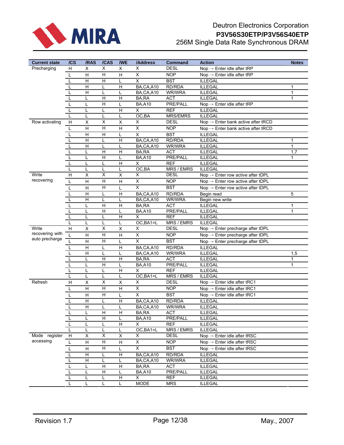

# Deutron Electronics Corporation **P3V56S30ETP/P3V56S40ETP** 256M Single Data Rate Synchronous DRAM

| <b>Current state</b>     | /CS | /RAS                      | /CAS                    | <b>/WE</b>                   | /Address                | Command                | <b>Action</b>                                                | <b>Notes</b> |
|--------------------------|-----|---------------------------|-------------------------|------------------------------|-------------------------|------------------------|--------------------------------------------------------------|--------------|
| Precharging              | H   | X                         | $\overline{X}$          | X                            | X                       | <b>DESL</b>            | Nop $\rightarrow$ Enter idle after tRP                       |              |
|                          | L   | $\overline{H}$            | Н                       | H                            | X                       | <b>NOP</b>             | Nop $\rightarrow$ Enter idle after tRP                       |              |
|                          |     | H                         | Н                       | L                            | $\overline{\mathsf{x}}$ | <b>BST</b>             | <b>ILLEGAL</b>                                               |              |
|                          |     | $\overline{H}$            | L                       | H                            | BA,CA,A10               | RD/RDA                 | <b>ILLEGAL</b>                                               | 1            |
|                          |     | H                         | L                       | L                            | BA,CA,A10               | WR/WRA                 | <b>ILLEGAL</b>                                               | $\mathbf{1}$ |
|                          |     | L                         | H                       | H                            | BA,RA                   | <b>ACT</b>             | <b>ILLEGAL</b>                                               | 1            |
|                          |     | L                         | Н                       | L                            | <b>BA,A10</b>           | PRE/PALL               | Nop $\rightarrow$ Enter idle after tRP                       |              |
|                          |     | L                         | L                       | H                            | X                       | <b>REF</b>             | <b>ILLEGAL</b>                                               |              |
|                          |     | L                         | L                       | L                            | OC,BA                   | <b>MRS/EMRS</b>        | <b>ILLEGAL</b>                                               |              |
| Row activating           | H   | X                         | $\overline{\mathsf{x}}$ | X                            | X                       | <b>DESL</b>            | $\text{Nop} \rightarrow \text{Enter bank active after tRCD}$ |              |
|                          | L   | H                         | Н                       | H                            | $\overline{\mathsf{x}}$ | <b>NOP</b>             | $\text{Nop} \rightarrow \text{Enter bank active after tRCD}$ |              |
|                          | L   | H                         | Н                       | Г                            | X                       | <b>BST</b>             | <b>ILLEGAL</b>                                               |              |
|                          |     | $\overline{H}$            | L                       | H                            | BA,CA,A10               | RD/RDA                 | <b>ILLEGAL</b>                                               | 1            |
|                          |     | $\overline{H}$            | L                       | Г                            | BA,CA,A10               | WR/WRA                 | <b>ILLEGAL</b>                                               | $\mathbf{1}$ |
|                          |     | L                         | Н                       | H                            | BA,RA                   | <b>ACT</b>             | <b>ILLEGAL</b>                                               | 1,7          |
|                          |     | L                         | $\overline{H}$          | L                            | <b>BA,A10</b>           | PRE/PALL               | <b>ILLEGAL</b>                                               | 1            |
|                          |     | L                         | L                       | H                            | X                       | <b>REF</b>             | <b>ILLEGAL</b>                                               |              |
|                          | L   | L                         | L                       | L                            | OC,BA                   | MRS / EMRS             | <b>ILLEGAL</b>                                               |              |
| Write<br>recovering      | H   | X                         | Χ                       | X                            | X                       | <b>DESL</b>            | Nop $\rightarrow$ Enter row active after tDPL                |              |
|                          | L   | $\overline{H}$            | Н                       | H                            | X                       | <b>NOP</b>             | $\text{Nop} \rightarrow \text{Enter row active after tDPL}$  |              |
|                          | L   | H                         | Н                       | L                            | X                       | <b>BST</b>             | $Nop \rightarrow$ Enter row active after tDPL                |              |
|                          |     | H                         | L                       | H                            | BA,CA,A10               | RD/RDA                 | Begin read                                                   | 5            |
|                          |     | $\overline{\mathsf{H}}$   | L                       | L                            | BA,CA,A10               | WR/WRA                 | Begin new write                                              |              |
|                          |     | L                         | Н                       | H                            | <b>BA.RA</b>            | <b>ACT</b>             | <b>ILLEGAL</b>                                               | $\mathbf{1}$ |
|                          | L   | L                         | Н                       | L                            | <b>BA,A10</b>           | PRE/PALL               | <b>ILLEGAL</b>                                               | 1            |
|                          | L   | L                         | L                       | $\overline{H}$               | X                       | <b>REF</b>             | <b>ILLEGAL</b>                                               |              |
|                          |     | L                         | L                       | Г                            | OC, BA1=L               | <b>MRS / EMRS</b>      | <b>ILLEGAL</b>                                               |              |
| Write<br>recovering with | H   | X                         | X                       | X                            | X                       | <b>DESL</b>            | Nop $\rightarrow$ Enter precharge after tDPL                 |              |
| auto precharge           | L   | H                         | H                       | H                            | X                       | <b>NOP</b>             | $\text{Nop} \rightarrow \text{Enter}$ precharge after tDPL   |              |
|                          | L   | H                         | H                       | L                            | X                       | <b>BST</b>             | $\text{Nop} \rightarrow \text{Enter}$ precharge after tDPL   |              |
|                          | L   | H                         | L                       | H                            | BA,CA,A10               | RD/RDA                 | <b>ILLEGAL</b>                                               |              |
|                          |     | H                         | L                       | L                            | BA,CA,A10               | WR/WRA                 | <b>ILLEGAL</b>                                               | 1,5          |
|                          |     | L                         | Н                       | H                            | BA,RA                   | <b>ACT</b>             | <b>ILLEGAL</b>                                               | 1            |
|                          |     | L                         | Н                       | L<br>$\overline{\mathsf{H}}$ | <b>BA,A10</b>           | PRE/PALL<br><b>REF</b> | <b>ILLEGAL</b>                                               | 1            |
|                          |     | L<br>L                    | L<br>L                  | Г                            | X<br>OC, BA1=L          | MRS / EMRS             | <b>ILLEGAL</b><br><b>ILLEGAL</b>                             |              |
| Refresh                  | H   |                           | Χ                       |                              | X                       | <b>DESL</b>            | Nop $\rightarrow$ Enter idle after tRC1                      |              |
|                          |     | X                         | H                       | X                            | X                       | <b>NOP</b>             |                                                              |              |
|                          | L   | H                         |                         | H                            |                         |                        | Nop $\rightarrow$ Enter idle after tRC1                      |              |
|                          |     | $\mathsf{H}$              | H                       | L                            | $\overline{\mathsf{X}}$ | <b>BST</b>             | Nop $\rightarrow$ Enter idle after tRC1                      |              |
|                          |     | $\overline{H}$            | L                       | $\overline{H}$               | BA, CA, A10             | RD/RDA                 | <b>ILLEGAL</b>                                               |              |
|                          |     | H                         | L                       | L                            | BA,CA,A10               | WR/WRA                 | <b>ILLEGAL</b>                                               |              |
|                          |     | L                         | н<br>H                  | н<br>Г                       | BA,RA<br><b>BA,A10</b>  | <b>ACT</b><br>PRE/PALL | <b>ILLEGAL</b><br><b>ILLEGAL</b>                             |              |
|                          |     | L                         | Г                       | $\overline{H}$               | X                       | <b>REF</b>             | <b>ILLEGAL</b>                                               |              |
|                          |     | L                         | Г                       | L                            | OC, BA1=L               | <b>MRS / EMRS</b>      | <b>ILLEGAL</b>                                               |              |
| Mode register            | H   | $\sf X$                   | $\overline{X}$          | $\sf X$                      | X                       | <b>DESL</b>            | $\text{Nop} \rightarrow \text{Enter}$ idle after tRSC        |              |
| accessing                | L   | $\boldsymbol{\mathsf{H}}$ | $\overline{H}$          | $\boldsymbol{\mathsf{H}}$    | $\overline{X}$          | <b>NOP</b>             | Nop $\rightarrow$ Enter idle after tRSC                      |              |
|                          |     | $\boldsymbol{\mathsf{H}}$ | $\overline{\mathsf{H}}$ | L                            | $\overline{\mathsf{x}}$ | <b>BST</b>             | $\text{Nop} \rightarrow \text{Enter}$ idle after tRSC        |              |
|                          |     | $\overline{H}$            | L                       | $\overline{H}$               | BA,CA,A10               | RD/RDA                 | <b>ILLEGAL</b>                                               |              |
|                          |     | H                         | Г                       | Г                            | BA,CA,A10               | WR/WRA                 | <b>ILLEGAL</b>                                               |              |
|                          |     | L                         | Н                       | H                            | BA,RA                   | ACT                    | <b>ILLEGAL</b>                                               |              |
|                          |     | Г                         | $\overline{H}$          | Г                            | <b>BA,A10</b>           | <b>PRE/PALL</b>        | <b>ILLEGAL</b>                                               |              |
|                          |     | L                         |                         | H                            | X                       | <b>REF</b>             | <b>ILLEGAL</b>                                               |              |
|                          |     | L                         | L                       | L                            | <b>MODE</b>             | <b>MRS</b>             | <b>ILLEGAL</b>                                               |              |
|                          |     |                           |                         |                              |                         |                        |                                                              |              |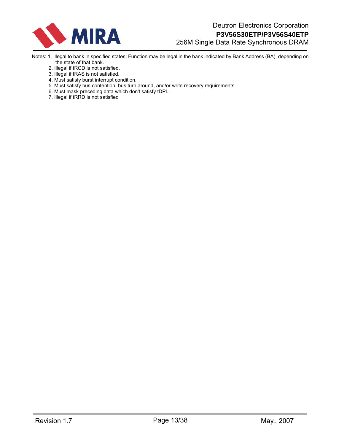

- Notes: 1. Illegal to bank in specified states; Function may be legal in the bank indicated by Bank Address (BA), depending on the state of that bank.
	- 2. Illegal if tRCD is not satisfied.
	- 3. Illegal if tRAS is not satisfied.
	- 4. Must satisfy burst interrupt condition.
	- 5. Must satisfy bus contention, bus turn around, and/or write recovery requirements.
	- 6. Must mask preceding data which don't satisfy tDPL.
	- 7. Illegal if tRRD is not satisfied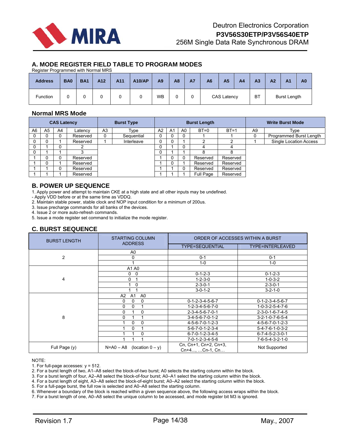

# **A. MODE REGISTER FIELD TABLE TO PROGRAM MODES**

Register Programmed with Normal MRS

| <b>Address</b>  | BA <sub>0</sub> | <b>BA1</b> | A <sub>12</sub> | A11 | <b>A10/AP</b> | A <sub>9</sub> | A8 | <b>A7</b> | <b>A6</b> | A <sub>5</sub>     | A <sub>4</sub> | A <sub>3</sub> | A <sub>2</sub> | A <sub>1</sub>      | A <sub>0</sub> |
|-----------------|-----------------|------------|-----------------|-----|---------------|----------------|----|-----------|-----------|--------------------|----------------|----------------|----------------|---------------------|----------------|
| <b>Function</b> | ີ               | u          |                 |     |               | <b>WB</b>      |    |           |           | <b>CAS Latency</b> |                | <b>BT</b>      |                | <b>Burst Length</b> |                |

# **Normal MRS Mode**

| <b>CAS Latency</b> |                |    |          |                |            |                |          | <b>Burst Length</b> |           | <b>Write Burst Mode</b> |                |                               |
|--------------------|----------------|----|----------|----------------|------------|----------------|----------|---------------------|-----------|-------------------------|----------------|-------------------------------|
| A6                 | A <sub>5</sub> | A4 | Latency  | A <sub>3</sub> | Type       | A <sub>2</sub> | A1       | A0                  | $BT=0$    | $BT=1$                  | A <sub>9</sub> | Type                          |
|                    |                |    | Reserved | 0              | Sequential |                | υ        | 0                   |           |                         |                | Programmed Burst Length       |
|                    |                |    | Reserved |                | Interleave |                |          |                     | ኅ         |                         |                | <b>Single Location Access</b> |
|                    |                |    |          |                |            |                |          | 0                   | 4         |                         |                |                               |
|                    |                |    |          |                |            |                |          |                     | 8         |                         |                |                               |
|                    |                |    | Reserved |                |            |                | 0        | υ                   | Reserved  | Reserved                |                |                               |
|                    |                |    | Reserved |                |            |                | $\Omega$ |                     | Reserved  | Reserved                |                |                               |
|                    |                |    | Reserved |                |            |                |          |                     | Reserved  | Reserved                |                |                               |
|                    |                |    | Reserved |                |            |                |          |                     | Full Page | Reserved                |                |                               |

## **B. POWER UP SEQUENCE**

1. Apply power and attempt to maintain CKE at a high state and all other inputs may be undefined.

- Apply VDD before or at the same time as VDDQ.

2. Maintain stable power, stable clock and NOP input condition for a minimum of 200us.

3. Issue precharge commands for all banks of the devices.

4. Issue 2 or more auto-refresh commands.

5. Issue a mode register set command to initialize the mode register.

# **C. BURST SEQUENCE**

| <b>BURST LENGTH</b> | <b>STARTING COLUMN</b><br><b>ADDRESS</b> | ORDER OF ACCESSES WITHIN A BURST        |                                 |  |  |  |  |  |
|---------------------|------------------------------------------|-----------------------------------------|---------------------------------|--|--|--|--|--|
|                     |                                          | <b>TYPE=SEQUENTIAL</b>                  | TYPE=INTERLEAVED                |  |  |  |  |  |
|                     | A0                                       |                                         |                                 |  |  |  |  |  |
| $\overline{2}$      | 0                                        | $0 - 1$                                 | $0 - 1$                         |  |  |  |  |  |
|                     |                                          | $1-0$                                   | $1-0$                           |  |  |  |  |  |
|                     | A1 A0                                    |                                         |                                 |  |  |  |  |  |
|                     | 0<br>0                                   | $0 - 1 - 2 - 3$                         | $0 - 1 - 2 - 3$                 |  |  |  |  |  |
| 4                   | 0                                        | $1 - 2 - 3 - 0$                         | $1 - 0 - 3 - 2$                 |  |  |  |  |  |
|                     | 0                                        | $2 - 3 - 0 - 1$                         | $2 - 3 - 0 - 1$                 |  |  |  |  |  |
|                     |                                          | $3 - 0 - 1 - 2$                         | $3 - 2 - 1 - 0$                 |  |  |  |  |  |
|                     | A1<br>A2<br>A0                           |                                         |                                 |  |  |  |  |  |
|                     | 0<br>0<br>0                              | $0 - 1 - 2 - 3 - 4 - 5 - 6 - 7$         | $0 - 1 - 2 - 3 - 4 - 5 - 6 - 7$ |  |  |  |  |  |
|                     | 0<br>0                                   | $1 - 2 - 3 - 4 - 5 - 6 - 7 - 0$         | $1 - 0 - 3 - 2 - 5 - 4 - 7 - 6$ |  |  |  |  |  |
|                     | 0<br>0                                   | $2 - 3 - 4 - 5 - 6 - 7 - 0 - 1$         | $2 - 3 - 0 - 1 - 6 - 7 - 4 - 5$ |  |  |  |  |  |
| 8                   | 0                                        | $3-4-5-6-7-0-1-2$                       | $3 - 2 - 1 - 0 - 7 - 6 - 5 - 4$ |  |  |  |  |  |
|                     | 0<br>0                                   | 4-5-6-7-0-1-2-3                         | 4-5-6-7-0-1-2-3                 |  |  |  |  |  |
|                     | 0                                        | $5 - 6 - 7 - 0 - 1 - 2 - 3 - 4$         | $5 - 4 - 7 - 6 - 1 - 0 - 3 - 2$ |  |  |  |  |  |
|                     | 0                                        | $6 - 7 - 0 - 1 - 2 - 3 - 4 - 5$         | $6 - 7 - 4 - 5 - 2 - 3 - 0 - 1$ |  |  |  |  |  |
|                     |                                          | 7-0-1-2-3-4-5-6                         | 7-6-5-4-3-2-1-0                 |  |  |  |  |  |
| Full Page (y)       | $N = A0 - A8$<br>(location $0 - y$ )     | Cn, Cn+1, Cn+2, Cn+3,<br>Cn+4, Cn-1, Cn | Not Supported                   |  |  |  |  |  |

NOTE:

1. For full-page accesses:  $y = 512$ .

2. For a burst length of two, A1–A8 select the block-of-two burst; A0 selects the starting column within the block.

3. For a burst length of four, A2–A8 select the block-of-four burst; A0–A1 select the starting column within the block.

4. For a burst length of eight, A3–A8 select the block-of-eight burst; A0–A2 select the starting column within the block.

5. For a full-page burst, the full row is selected and A0–A8 select the starting column.

6. Whenever a boundary of the block is reached within a given sequence above, the following access wraps within the block.

7. For a burst length of one, A0–A8 select the unique column to be accessed, and mode register bit M3 is ignored.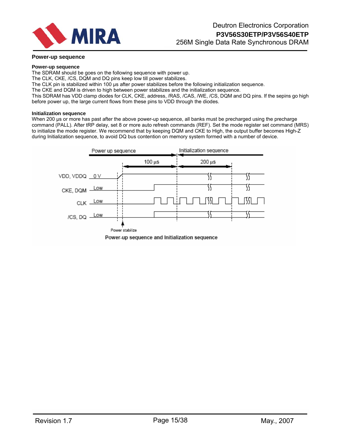

#### **Power-up sequence**

#### **Power-up sequence**

The SDRAM should be goes on the following sequence with power up.

The CLK, CKE, /CS, DQM and DQ pins keep low till power stabilizes.

The CLK pin is stabilized within 100 us after power stabilizes before the following initialization sequence.

The CKE and DQM is driven to high between power stabilizes and the initialization sequence.

This SDRAM has VDD clamp diodes for CLK, CKE, address, /RAS, /CAS, /WE, /CS, DQM and DQ pins. If the sepins go high before power up, the large current flows from these pins to VDD through the diodes.

#### **Initialization sequence**

When 200 us or more has past after the above power-up sequence, all banks must be precharged using the precharge command (PALL). After tRP delay, set 8 or more auto refresh commands (REF). Set the mode register set command (MRS) to initialize the mode register. We recommend that by keeping DQM and CKE to High, the output buffer becomes High-Z during Initialization sequence, to avoid DQ bus contention on memory system formed with a number of device.

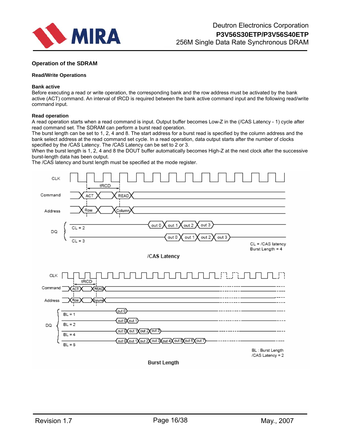

## **Operation of the SDRAM**

#### **Read/Write Operations**

#### **Bank active**

Before executing a read or write operation, the corresponding bank and the row address must be activated by the bank active (ACT) command. An interval of tRCD is required between the bank active command input and the following read/write command input.

#### **Read operation**

A read operation starts when a read command is input. Output buffer becomes Low-Z in the (/CAS Latency - 1) cycle after read command set. The SDRAM can perform a burst read operation.

The burst length can be set to 1, 2, 4 and 8. The start address for a burst read is specified by the column address and the bank select address at the read command set cycle. In a read operation, data output starts after the number of clocks specified by the /CAS Latency. The /CAS Latency can be set to 2 or 3.

When the burst length is 1, 2, 4 and 8 the DOUT buffer automatically becomes High-Z at the next clock after the successive burst-length data has been output.

The /CAS latency and burst length must be specified at the mode register.

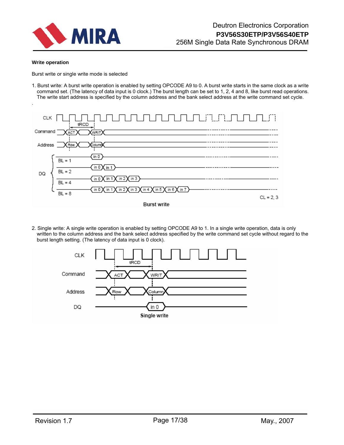

#### **Write operation**

Burst write or single write mode is selected

1. Burst write: A burst write operation is enabled by setting OPCODE A9 to 0. A burst write starts in the same clock as a write command set. (The latency of data input is 0 clock.) The burst length can be set to 1, 2, 4 and 8, like burst read operations. The write start address is specified by the column address and the bank select address at the write command set cycle.



2. Single write: A single write operation is enabled by setting OPCODE A9 to 1. In a single write operation, data is only written to the column address and the bank select address specified by the write command set cycle without regard to the burst length setting. (The latency of data input is 0 clock).

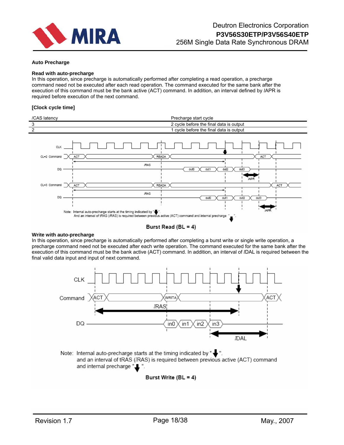

#### **Auto Precharge**

#### **Read with auto-precharge**

In this operation, since precharge is automatically performed after completing a read operation, a precharge command need not be executed after each read operation. The command executed for the same bank after the execution of this command must be the bank active (ACT) command. In addition, an interval defined by *l*APR is required before execution of the next command.

#### **[Clock cycle time]**





#### **Write with auto-precharge**

In this operation, since precharge is automatically performed after completing a burst write or single write operation, a precharge command need not be executed after each write operation. The command executed for the same bank after the execution of this command must be the bank active (ACT) command. In addition, an interval of *l*DAL is required between the final valid data input and input of next command.



and an interval of tRAS (IRAS) is required between previous active (ACT) command and internal precharge "...".

## Burst Write (BL = 4)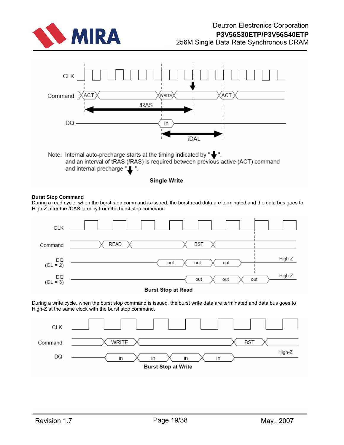



## **Burst Stop Command**

During a read cycle, when the burst stop command is issued, the burst read data are terminated and the data bus goes to High-Z after the /CAS latency from the burst stop command.

**Single Write** 



During a write cycle, when the burst stop command is issued, the burst write data are terminated and data bus goes to High-Z at the same clock with the burst stop command.

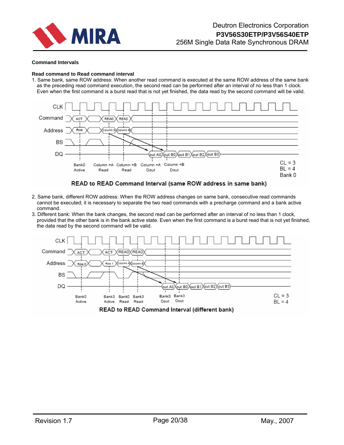

#### **Command Intervals**

#### **Read command to Read command interval**

1. Same bank, same ROW address: When another read command is executed at the same ROW address of the same bank as the preceding read command execution, the second read can be performed after an interval of no less than 1 clock. Even when the first command is a burst read that is not yet finished, the data read by the second command will be valid.



#### READ to READ Command Interval (same ROW address in same bank)

- 2. Same bank, different ROW address: When the ROW address changes on same bank, consecutive read commands cannot be executed; it is necessary to separate the two read commands with a precharge command and a bank active command.
- 3. Different bank: When the bank changes, the second read can be performed after an interval of no less than 1 clock, provided that the other bank is in the bank active state. Even when the first command is a burst read that is not yet finished, the data read by the second command will be valid.

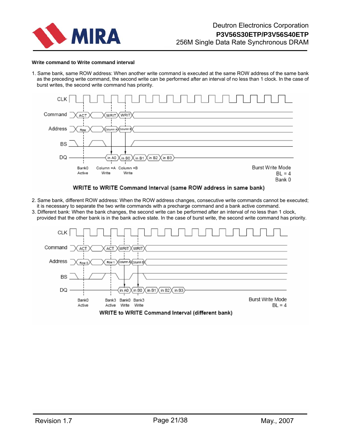

#### **Write command to Write command interval**

1. Same bank, same ROW address: When another write command is executed at the same ROW address of the same bank as the preceding write command, the second write can be performed after an interval of no less than 1 clock. In the case of burst writes, the second write command has priority.



#### WRITE to WRITE Command Interval (same ROW address in same bank)

- 2. Same bank, different ROW address: When the ROW address changes, consecutive write commands cannot be executed; it is necessary to separate the two write commands with a precharge command and a bank active command.
- 3. Different bank: When the bank changes, the second write can be performed after an interval of no less than 1 clock, provided that the other bank is in the bank active state. In the case of burst write, the second write command has priority.

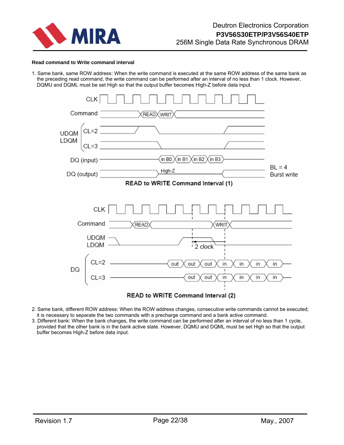

#### **Read command to Write command interval**

1. Same bank, same ROW address: When the write command is executed at the same ROW address of the same bank as the preceding read command, the write command can be performed after an interval of no less than 1 clock. However, DQMU and DQML must be set High so that the output buffer becomes High-Z before data input.



- 2. Same bank, different ROW address: When the ROW address changes, consecutive write commands cannot be executed; it is necessary to separate the two commands with a precharge command and a bank active command.
- 3. Different bank: When the bank changes, the write command can be performed after an interval of no less than 1 cycle, provided that the other bank is in the bank active state. However, DQMU and DQML must be set High so that the output buffer becomes High-Z before data input.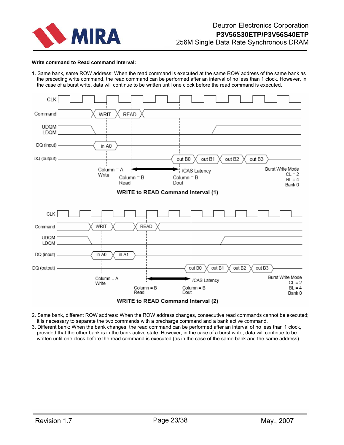

#### **Write command to Read command interval:**

1. Same bank, same ROW address: When the read command is executed at the same ROW address of the same bank as the preceding write command, the read command can be performed after an interval of no less than 1 clock. However, in the case of a burst write, data will continue to be written until one clock before the read command is executed.



2. Same bank, different ROW address: When the ROW address changes, consecutive read commands cannot be executed; it is necessary to separate the two commands with a precharge command and a bank active command.

3. Different bank: When the bank changes, the read command can be performed after an interval of no less than 1 clock, provided that the other bank is in the bank active state. However, in the case of a burst write, data will continue to be written until one clock before the read command is executed (as in the case of the same bank and the same address).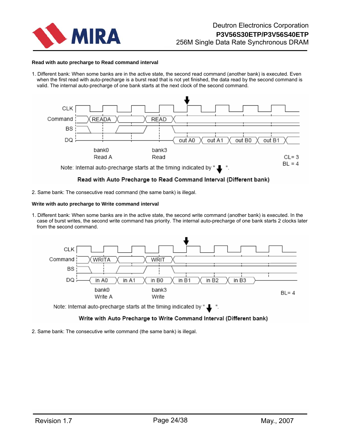

#### **Read with auto precharge to Read command interval**

1. Different bank: When some banks are in the active state, the second read command (another bank) is executed. Even when the first read with auto-precharge is a burst read that is not yet finished, the data read by the second command is valid. The internal auto-precharge of one bank starts at the next clock of the second command.



## Read with Auto Precharge to Read Command Interval (Different bank)

2. Same bank: The consecutive read command (the same bank) is illegal.

#### **Write with auto precharge to Write command interval**

1. Different bank: When some banks are in the active state, the second write command (another bank) is executed. In the case of burst writes, the second write command has priority. The internal auto-precharge of one bank starts 2 clocks later from the second command.



## Write with Auto Precharge to Write Command Interval (Different bank)

2. Same bank: The consecutive write command (the same bank) is illegal.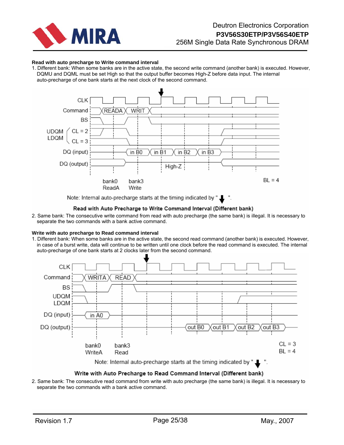

#### **Read with auto precharge to Write command interval**

1. Different bank: When some banks are in the active state, the second write command (another bank) is executed. However, DQMU and DQML must be set High so that the output buffer becomes High-Z before data input. The internal auto-precharge of one bank starts at the next clock of the second command.



Note: Internal auto-precharge starts at the timing indicated by "

## Read with Auto Precharge to Write Command Interval (Different bank)

2. Same bank: The consecutive write command from read with auto precharge (the same bank) is illegal. It is necessary to separate the two commands with a bank active command.

#### **Write with auto precharge to Read command interval**

1. Different bank: When some banks are in the active state, the second read command (another bank) is executed. However, in case of a burst write, data will continue to be written until one clock before the read command is executed. The internal auto-precharge of one bank starts at 2 clocks later from the second command.



## Write with Auto Precharge to Read Command Interval (Different bank)

2. Same bank: The consecutive read command from write with auto precharge (the same bank) is illegal. It is necessary to separate the two commands with a bank active command.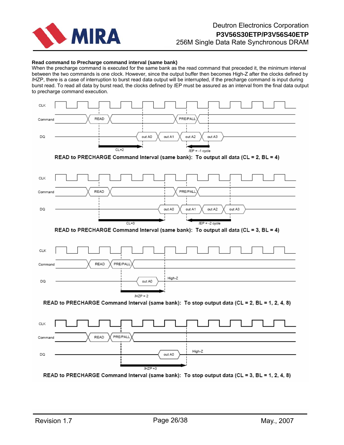

#### **Read command to Precharge command interval (same bank)**

When the precharge command is executed for the same bank as the read command that preceded it, the minimum interval between the two commands is one clock. However, since the output buffer then becomes High-Z after the clocks defined by *l*HZP, there is a case of interruption to burst read data output will be interrupted, if the precharge command is input during burst read. To read all data by burst read, the clocks defined by *l*EP must be assured as an interval from the final data output to precharge command execution.

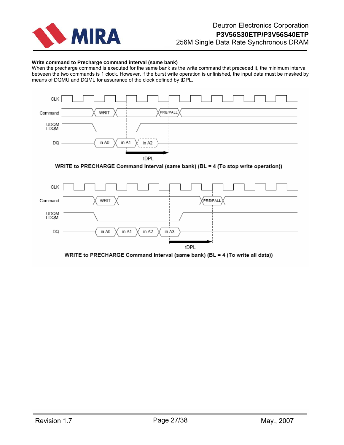

### **Write command to Precharge command interval (same bank)**

When the precharge command is executed for the same bank as the write command that preceded it, the minimum interval between the two commands is 1 clock. However, if the burst write operation is unfinished, the input data must be masked by means of DQMU and DQML for assurance of the clock defined by tDPL.





WRITE to PRECHARGE Command Interval (same bank) (BL = 4 (To write all data))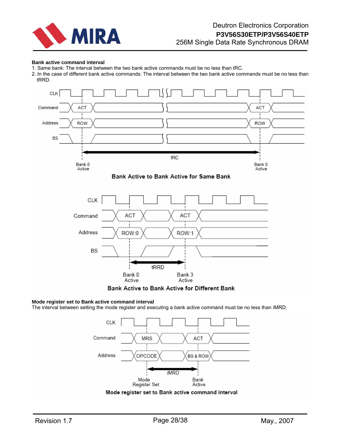

#### **Bank active command interval**

- 1. Same bank: The interval between the two bank active commands must be no less than tRC.
- 2. In the case of different bank active commands: The interval between the two bank active commands must be no less than tRRD.



#### **Mode register set to Bank active command interval**

The interval between setting the mode register and executing a bank active command must be no less than *l*MRD.



Mode register set to Bank active command interval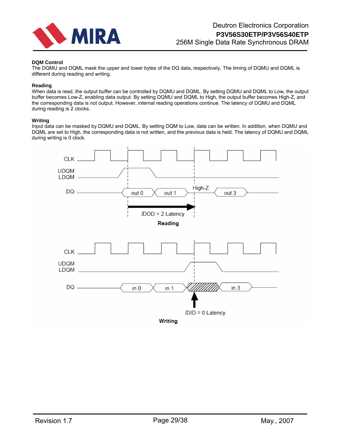

### **DQM Control**

The DQMU and DQML mask the upper and lower bytes of the DQ data, respectively. The timing of DQMU and DQML is different during reading and writing.

#### **Reading**

When data is read, the output buffer can be controlled by DQMU and DQML. By setting DQMU and DQML to Low, the output buffer becomes Low-Z, enabling data output. By setting DQMU and DQML to High, the output buffer becomes High-Z, and the corresponding data is not output. However, internal reading operations continue. The latency of DQMU and DQML during reading is 2 clocks.

#### **Writing**

Input data can be masked by DQMU and DQML. By setting DQM to Low, data can be written. In addition, when DQMU and DQML are set to High, the corresponding data is not written, and the previous data is held. The latency of DQMU and DQML during writing is 0 clock.

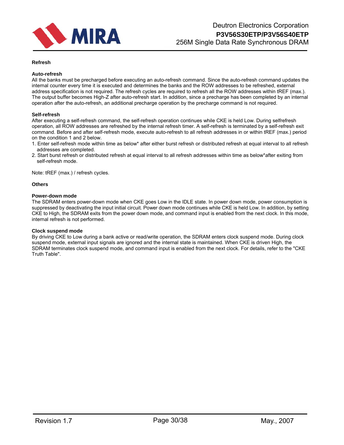

#### **Refresh**

#### **Auto-refresh**

All the banks must be precharged before executing an auto-refresh command. Since the auto-refresh command updates the internal counter every time it is executed and determines the banks and the ROW addresses to be refreshed, external address specification is not required. The refresh cycles are required to refresh all the ROW addresses within tREF (max.). The output buffer becomes High-Z after auto-refresh start. In addition, since a precharge has been completed by an internal operation after the auto-refresh, an additional precharge operation by the precharge command is not required.

#### **Self-refresh**

After executing a self-refresh command, the self-refresh operation continues while CKE is held Low. During selfrefresh operation, all ROW addresses are refreshed by the internal refresh timer. A self-refresh is terminated by a self-refresh exit command. Before and after self-refresh mode, execute auto-refresh to all refresh addresses in or within tREF (max.) period on the condition 1 and 2 below.

- 1. Enter self-refresh mode within time as below\* after either burst refresh or distributed refresh at equal interval to all refresh addresses are completed.
- 2. Start burst refresh or distributed refresh at equal interval to all refresh addresses within time as below\*after exiting from self-refresh mode.

Note: tREF (max.) / refresh cycles.

#### **Others**

#### **Power-down mode**

The SDRAM enters power-down mode when CKE goes Low in the IDLE state. In power down mode, power consumption is suppressed by deactivating the input initial circuit. Power down mode continues while CKE is held Low. In addition, by setting CKE to High, the SDRAM exits from the power down mode, and command input is enabled from the next clock. In this mode, internal refresh is not performed.

#### **Clock suspend mode**

By driving CKE to Low during a bank active or read/write operation, the SDRAM enters clock suspend mode. During clock suspend mode, external input signals are ignored and the internal state is maintained. When CKE is driven High, the SDRAM terminates clock suspend mode, and command input is enabled from the next clock. For details, refer to the "CKE Truth Table".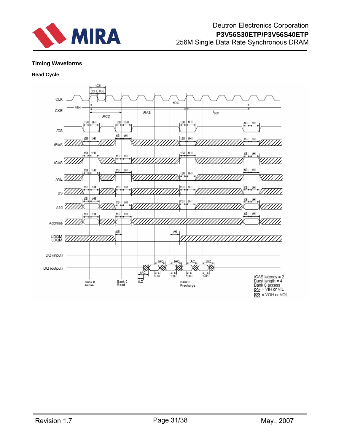

# **Timing Waveforms**

# **Read Cycle**



 $\overline{MS}$  = VOH or VOL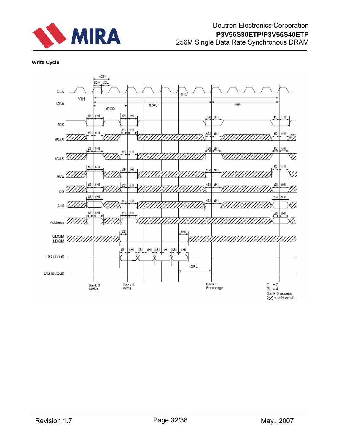

# **Write Cycle**

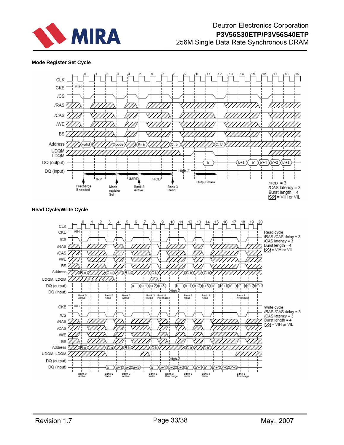

### **Mode Register Set Cycle**



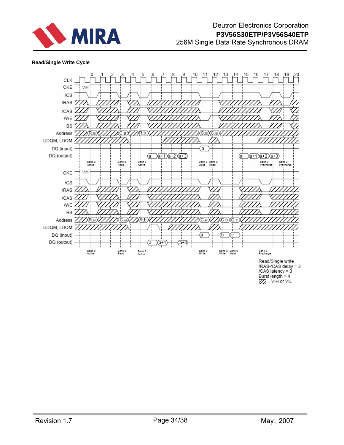

## **Read/Single Write Cycle**



 $ZZ = VIH$  or  $VIL$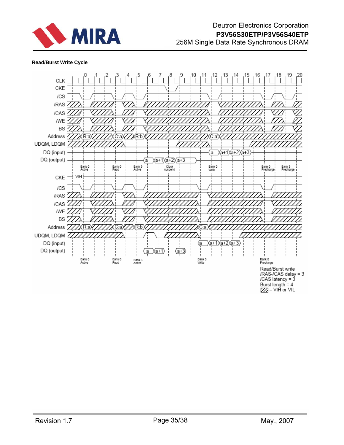

## **Read/Burst Write Cycle**

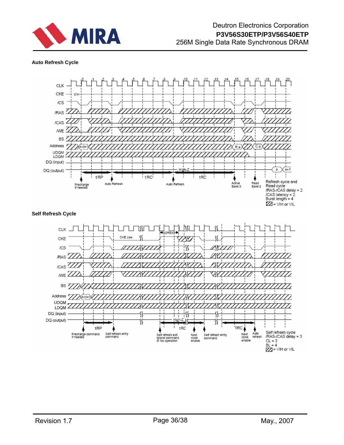

## **Auto Refresh Cycle**

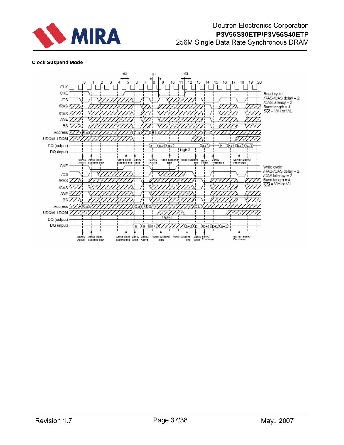

## **Clock Suspend Mode**